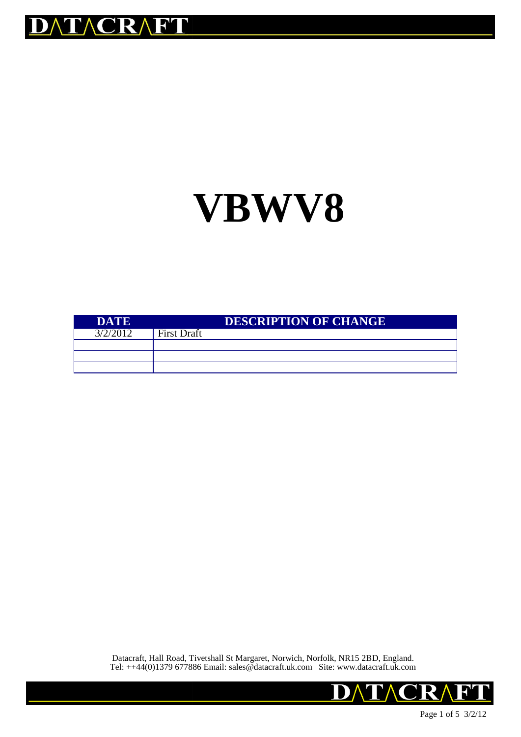

# **VBWV8**

| <b>DATE</b> |                    | <b>DESCRIPTION OF CHANGE</b> |
|-------------|--------------------|------------------------------|
| 3/2/2012    | <b>First Draft</b> |                              |
|             |                    |                              |
|             |                    |                              |
|             |                    |                              |

Datacraft, Hall Road, Tivetshall St Margaret, Norwich, Norfolk, NR15 2BD, England. Tel: ++44(0)1379 677886 Email: sales@datacraft.uk.com Site: www.datacraft.uk.com

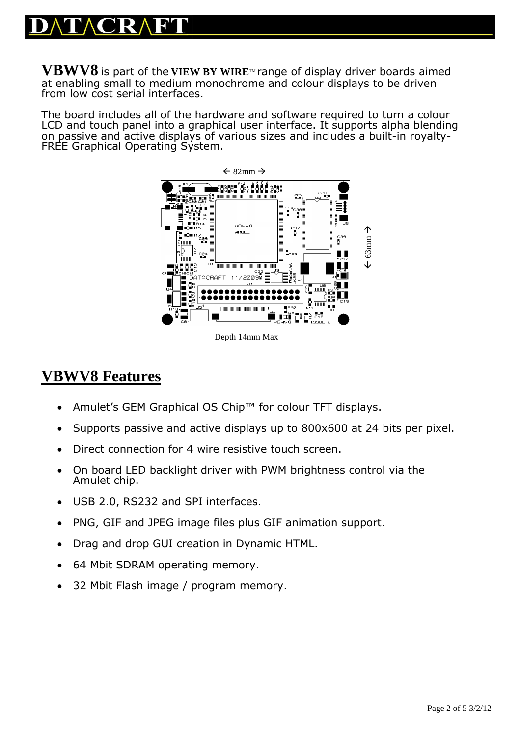**VBWV8** is part of the **VIEW BY WIRE**TM range of display driver boards aimed at enabling small to medium monochrome and colour displays to be driven from low cost serial interfaces.

The board includes all of the hardware and software required to turn a colour LCD and touch panel into a graphical user interface. It supports alpha blending on passive and active displays of various sizes and includes a built-in royalty-FREE Graphical Operating System.



Depth 14mm Max

# **VBWV8 Features**

- Amulet's GEM Graphical OS Chip™ for colour TFT displays.
- Supports passive and active displays up to 800x600 at 24 bits per pixel.
- Direct connection for 4 wire resistive touch screen.
- On board LED backlight driver with PWM brightness control via the Amulet chip.
- USB 2.0, RS232 and SPI interfaces.
- PNG, GIF and JPEG image files plus GIF animation support.
- Drag and drop GUI creation in Dynamic HTML.
- 64 Mbit SDRAM operating memory.
- 32 Mbit Flash image / program memory.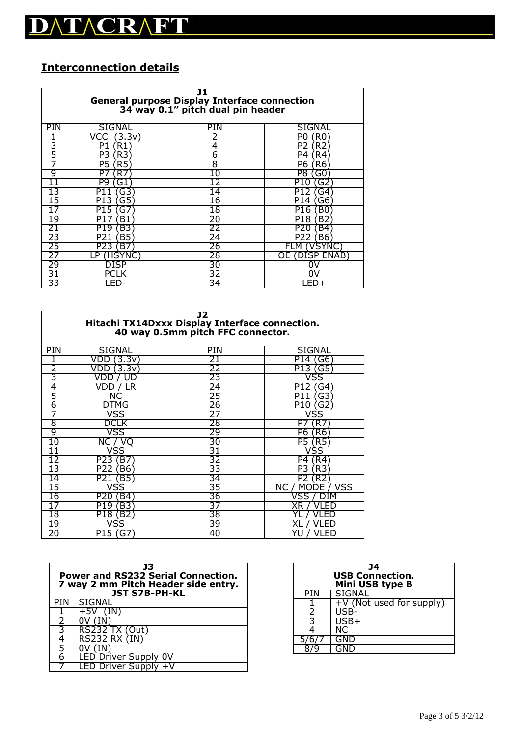# DATACRAFT

# **Interconnection details**

| J1<br>General purpose Display Interface connection<br>34 way 0.1" pitch dual pin header |                         |    |                       |  |  |  |  |
|-----------------------------------------------------------------------------------------|-------------------------|----|-----------------------|--|--|--|--|
| PIN                                                                                     | PIN<br>SIGNAL<br>SIGNAL |    |                       |  |  |  |  |
|                                                                                         | 3.3v`                   |    | P0<br>ΈRΟ             |  |  |  |  |
| 3                                                                                       | P1<br>R1                | 4  | P2<br>R <sub>2</sub>  |  |  |  |  |
| 5                                                                                       | R3<br>P3                | 6  | P4<br>R4              |  |  |  |  |
|                                                                                         | Р5<br>R5                | 8  | P6<br>R6              |  |  |  |  |
| 9                                                                                       | P7<br>R7                | 10 | Р8.<br>G0             |  |  |  |  |
|                                                                                         | рg<br>G1                |    | P1<br>G2<br>$\Box$    |  |  |  |  |
|                                                                                         | P1<br>G3                | 14 | P <sub>12</sub><br>G4 |  |  |  |  |
| 15                                                                                      | G5<br>P13               | 16 | P <sub>14</sub><br>G6 |  |  |  |  |
|                                                                                         | P15<br>G7               | 18 | B0<br>P <sub>16</sub> |  |  |  |  |
| 19                                                                                      | Β1<br>P1                | 20 | P18<br>B2             |  |  |  |  |
| 21                                                                                      | P19<br>B3               | 22 | P <sub>20</sub><br>B4 |  |  |  |  |
| 23                                                                                      | B5<br>P21               | 24 | P22<br>B6             |  |  |  |  |
|                                                                                         | ΈB7<br>P23              | 26 | 'SYN<br>FLM           |  |  |  |  |
|                                                                                         | п                       | 28 | ENAB<br>OΕ            |  |  |  |  |
| 29                                                                                      | DISP                    | 30 | W                     |  |  |  |  |
| 31                                                                                      |                         | 32 |                       |  |  |  |  |
| 33                                                                                      | 34<br>-ED-              |    |                       |  |  |  |  |

| J2<br>Hitachi TX14Dxxx Display Interface connection.<br>40 way 0.5mm pitch FFC connector. |                                |    |                        |  |  |  |
|-------------------------------------------------------------------------------------------|--------------------------------|----|------------------------|--|--|--|
| <b>PIN</b>                                                                                | SIGNAL<br><b>SIGNAL</b><br>PIN |    |                        |  |  |  |
|                                                                                           | 3.3v<br>VDD                    | 21 | G6<br>P14              |  |  |  |
| 2                                                                                         | 3.3v                           | 22 | P13<br>G5              |  |  |  |
| 3                                                                                         |                                | 23 | /SS                    |  |  |  |
| 4                                                                                         | _R<br>VD<br>נ ו                | 24 | P1<br>G4               |  |  |  |
| 5                                                                                         | NС                             | 25 | G3<br>P11              |  |  |  |
| 6                                                                                         | DTMG                           | 26 | P10<br>G2              |  |  |  |
| 7                                                                                         | VSS                            | 27 | vss                    |  |  |  |
| 8                                                                                         | DCL K                          | 28 | P7<br>R7               |  |  |  |
| 9                                                                                         | /SS                            | 29 | Р6<br>R6               |  |  |  |
| 10                                                                                        | NC<br>( )                      | 30 | P5<br>R5               |  |  |  |
| 11                                                                                        | 'SS                            | 31 | /SS                    |  |  |  |
| 12                                                                                        | P23<br>Β7                      | 32 | P4<br>`R4`             |  |  |  |
| 13                                                                                        | B6<br>P22                      | 33 | P3<br>R3.              |  |  |  |
| 14                                                                                        | P21<br>B5                      | 34 | P2<br>R2               |  |  |  |
| 15                                                                                        | /SS                            | 35 | VSS<br>NC.<br>МO<br>DE |  |  |  |
| 16                                                                                        | P20<br>B4                      | 36 | vss                    |  |  |  |
|                                                                                           | B3<br>P19                      | 37 | ХR                     |  |  |  |
| 18                                                                                        | P18<br>ΈB <sub>2</sub>         | 38 |                        |  |  |  |
| 19                                                                                        | vss                            | 39 |                        |  |  |  |
| 20                                                                                        | P15<br>G7                      | 40 | HD                     |  |  |  |

| 13<br><b>Power and RS232 Serial Connection.</b><br>7 way 2 mm Pitch Header side entry.<br><b>JST S7B-PH-KL</b> |                     |  |  |
|----------------------------------------------------------------------------------------------------------------|---------------------|--|--|
|                                                                                                                | SIGNAL              |  |  |
|                                                                                                                | $+5V$               |  |  |
|                                                                                                                |                     |  |  |
|                                                                                                                | RS232 TX (Out)      |  |  |
|                                                                                                                | <b>RS232 RX (IN</b> |  |  |
|                                                                                                                |                     |  |  |
|                                                                                                                | LED Driver Supply 0 |  |  |
|                                                                                                                | LED Driver Supply - |  |  |

| 14<br><b>USB Connection.</b><br>Mini USB type B |                          |  |  |
|-------------------------------------------------|--------------------------|--|--|
| PIN                                             | <b>SIGNAL</b>            |  |  |
|                                                 | +V (Not used for supply) |  |  |
|                                                 |                          |  |  |
|                                                 | $USB+$                   |  |  |
|                                                 | NC                       |  |  |
|                                                 | GND                      |  |  |
|                                                 |                          |  |  |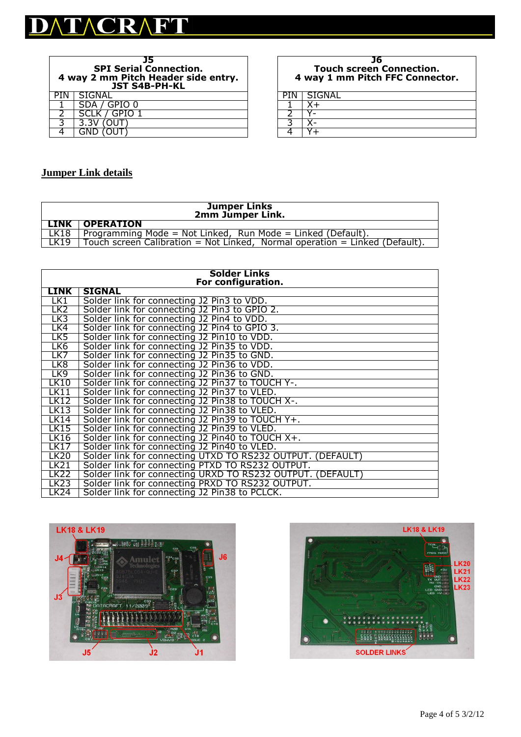

| 35<br><b>SPI Serial Connection.</b><br>4 way 2 mm Pitch Header side entry.<br><b>JST S4B-PH-KL</b> |               |  |  |  |
|----------------------------------------------------------------------------------------------------|---------------|--|--|--|
|                                                                                                    | SIGNAL        |  |  |  |
|                                                                                                    | SDA / GPIO 0  |  |  |  |
|                                                                                                    | SCLK / GPIO 1 |  |  |  |
| ว                                                                                                  | 3.3V          |  |  |  |
|                                                                                                    |               |  |  |  |

#### **J6 Touch screen Connection. 4 way 1 mm Pitch FFC Connector.**

**PIN | SIGNAL** 

| Ξ<br>منه |  |
|----------|--|
|          |  |

### **Jumper Link details**

| Jumper Links<br>2mm Jumper Link. |                                                                             |  |  |
|----------------------------------|-----------------------------------------------------------------------------|--|--|
|                                  | LINK   OPERATION                                                            |  |  |
| LK18                             | Programming Mode = Not Linked, Run Mode = Linked (Default).                 |  |  |
| LK19                             | Touch screen Calibration = Not Linked, Normal operation = Linked (Default). |  |  |

| <b>Solder Links</b> |                                                            |  |  |  |  |
|---------------------|------------------------------------------------------------|--|--|--|--|
|                     | For configuration.                                         |  |  |  |  |
| <b>LINK</b>         | <b>SIGNAL</b>                                              |  |  |  |  |
| LK1                 | Solder link for connecting J2 Pin3 to VDD.                 |  |  |  |  |
| LK2                 | Solder link for connecting J2 Pin3 to GPIO 2.              |  |  |  |  |
| LK3                 | Solder link for connecting J2 Pin4 to VDD.                 |  |  |  |  |
| LK4                 | Solder link for connecting J2 Pin4 to GPIO 3.              |  |  |  |  |
| LK5                 | Solder link for connecting J2 Pin10 to VDD.                |  |  |  |  |
| LK6                 | Solder link for connecting J2 Pin35 to VDD.                |  |  |  |  |
| LK7                 | Solder link for connecting J2 Pin35 to GND.                |  |  |  |  |
| LK8                 | Solder link for connecting J2 Pin36 to VDD.                |  |  |  |  |
| LK9                 | Solder link for connecting J2 Pin36 to GND.                |  |  |  |  |
| LK10                | Solder link for connecting J2 Pin37 to TOUCH Y-.           |  |  |  |  |
| LK11                | Solder link for connecting J2 Pin37 to VLED.               |  |  |  |  |
| <b>LK12</b>         | Solder link for connecting J2 Pin38 to TOUCH X-.           |  |  |  |  |
| <b>LK13</b>         | Solder link for connecting J2 Pin38 to VLED.               |  |  |  |  |
| <b>LK14</b>         | Solder link for connecting J2 Pin39 to TOUCH Y+.           |  |  |  |  |
| <b>LK15</b>         | Solder link for connecting J2 Pin39 to VLED.               |  |  |  |  |
| <b>LK16</b>         | Solder link for connecting J2 Pin40 to TOUCH X+.           |  |  |  |  |
| LK17                | Solder link for connecting J2 Pin40 to VLED.               |  |  |  |  |
| LK20                | Solder link for connecting UTXD TO RS232 OUTPUT. (DEFAULT) |  |  |  |  |
| <b>LK21</b>         | Solder link for connecting PTXD TO RS232 OUTPUT.           |  |  |  |  |
| <b>LK22</b>         | Solder link for connecting URXD TO RS232 OUTPUT. (DEFAULT) |  |  |  |  |
| LK23                | Solder link for connecting PRXD TO RS232 OUTPUT.           |  |  |  |  |
| LK24                | Solder link for connecting J2 Pin38 to PCLCK.              |  |  |  |  |